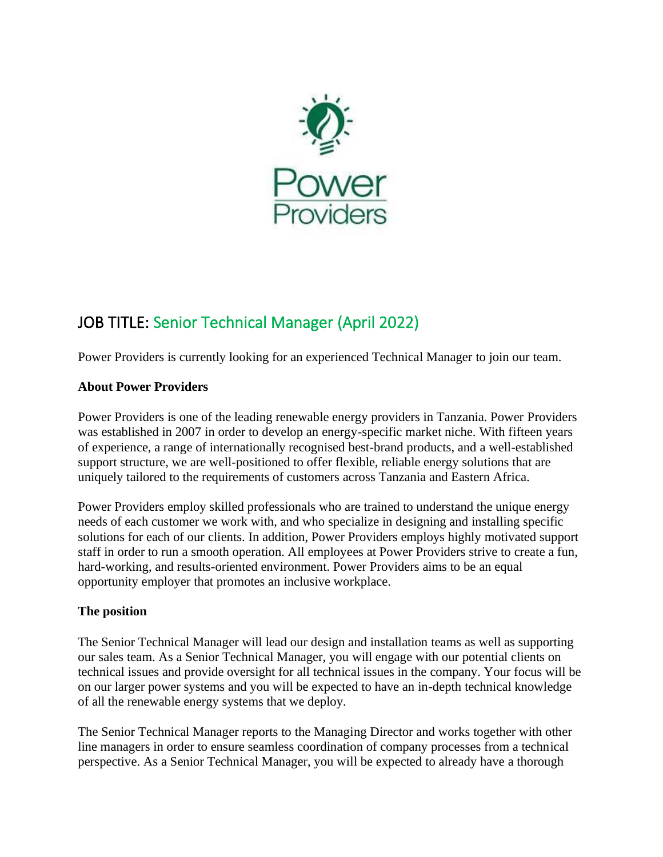

# JOB TITLE: Senior Technical Manager (April 2022)

Power Providers is currently looking for an experienced Technical Manager to join our team.

## **About Power Providers**

Power Providers is one of the leading renewable energy providers in Tanzania. Power Providers was established in 2007 in order to develop an energy-specific market niche. With fifteen years of experience, a range of internationally recognised best-brand products, and a well-established support structure, we are well-positioned to offer flexible, reliable energy solutions that are uniquely tailored to the requirements of customers across Tanzania and Eastern Africa.

Power Providers employ skilled professionals who are trained to understand the unique energy needs of each customer we work with, and who specialize in designing and installing specific solutions for each of our clients. In addition, Power Providers employs highly motivated support staff in order to run a smooth operation. All employees at Power Providers strive to create a fun, hard-working, and results-oriented environment. Power Providers aims to be an equal opportunity employer that promotes an inclusive workplace.

### **The position**

The Senior Technical Manager will lead our design and installation teams as well as supporting our sales team. As a Senior Technical Manager, you will engage with our potential clients on technical issues and provide oversight for all technical issues in the company. Your focus will be on our larger power systems and you will be expected to have an in-depth technical knowledge of all the renewable energy systems that we deploy.

The Senior Technical Manager reports to the Managing Director and works together with other line managers in order to ensure seamless coordination of company processes from a technical perspective. As a Senior Technical Manager, you will be expected to already have a thorough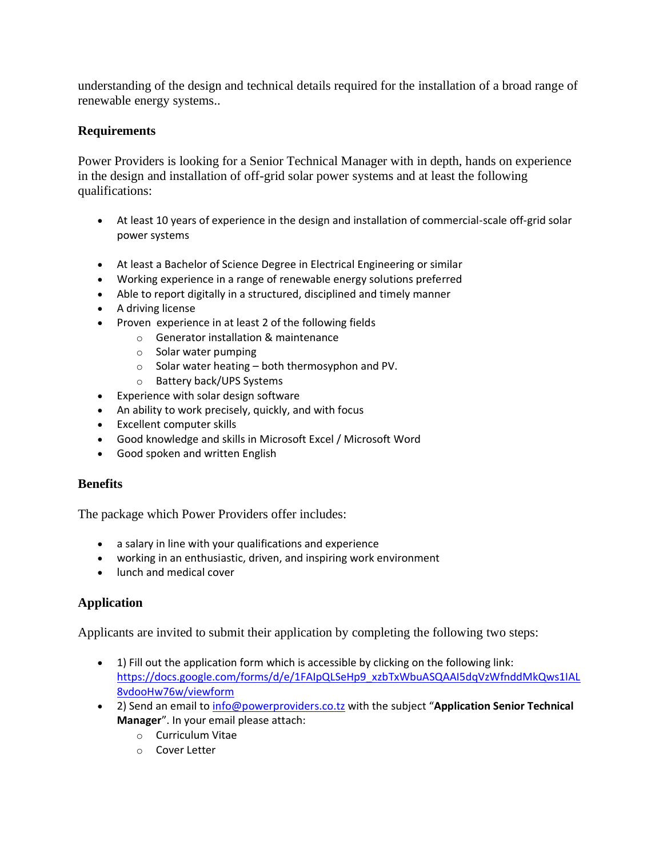understanding of the design and technical details required for the installation of a broad range of renewable energy systems..

### **Requirements**

Power Providers is looking for a Senior Technical Manager with in depth, hands on experience in the design and installation of off-grid solar power systems and at least the following qualifications:

- At least 10 years of experience in the design and installation of commercial-scale off-grid solar power systems
- At least a Bachelor of Science Degree in Electrical Engineering or similar
- Working experience in a range of renewable energy solutions preferred
- Able to report digitally in a structured, disciplined and timely manner
- A driving license
- Proven experience in at least 2 of the following fields
	- o Generator installation & maintenance
	- o Solar water pumping
	- $\circ$  Solar water heating both thermosyphon and PV.
	- o Battery back/UPS Systems
- Experience with solar design software
- An ability to work precisely, quickly, and with focus
- Excellent computer skills
- Good knowledge and skills in Microsoft Excel / Microsoft Word
- Good spoken and written English

### **Benefits**

The package which Power Providers offer includes:

- a salary in line with your qualifications and experience
- working in an enthusiastic, driven, and inspiring work environment
- lunch and medical cover

### **Application**

Applicants are invited to submit their application by completing the following two steps:

- 1) Fill out the application form which is accessible by clicking on the following link: [https://docs.google.com/forms/d/e/1FAIpQLSeHp9\\_xzbTxWbuASQAAI5dqVzWfnddMkQws1IAL](https://docs.google.com/forms/d/e/1FAIpQLSeHp9_xzbTxWbuASQAAI5dqVzWfnddMkQws1IAL8vdooHw76w/viewform) [8vdooHw76w/viewform](https://docs.google.com/forms/d/e/1FAIpQLSeHp9_xzbTxWbuASQAAI5dqVzWfnddMkQws1IAL8vdooHw76w/viewform)
- 2) Send an email to [info@powerproviders.co.tz](mailto:info@powerproviders.co.tz) with the subject "**Application Senior Technical Manager**". In your email please attach:
	- o Curriculum Vitae
	- o Cover Letter